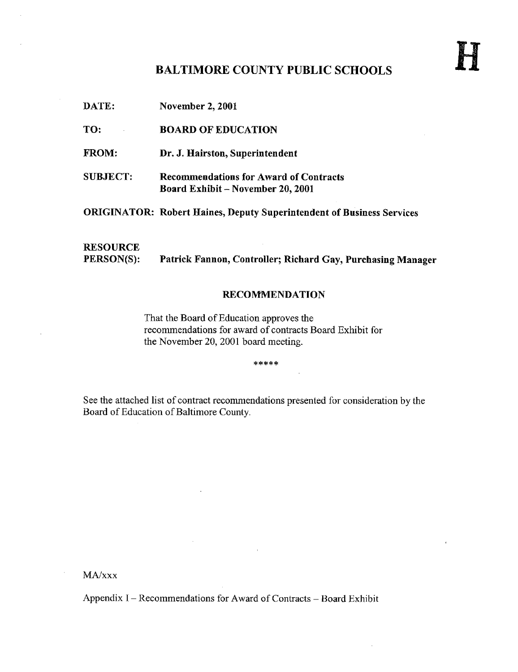# BALTIMORE COUNTY PUBLIC SCHOOLS

DATE: November 2, 2001 TO: **BOARD OF EDUCATION** FROM: Dr. J. Hairston, Superintendent SUBJECT: Recommendations for Award of Contracts Board Exhibit - November 20, 2001 ORIGINATOR: Robert Haines, Deputy Superintendent of Business Services **RESOURCE**<br>PERSON(S): Patrick Fannon, Controller; Richard Gay, Purchasing Manager

## RECOMMENDATION

That the Board of Education approves the recommendations for award of contracts Board Exhibit for the November 20, 2001 board meeting.

\*\*\*\*\*

See the attached list of contract recommendations presented for consideration by the Board of Education of Baltimore County.

MA/xxx

Appendix  $I - Recommendations$  for Award of Contracts  $-$  Board Exhibit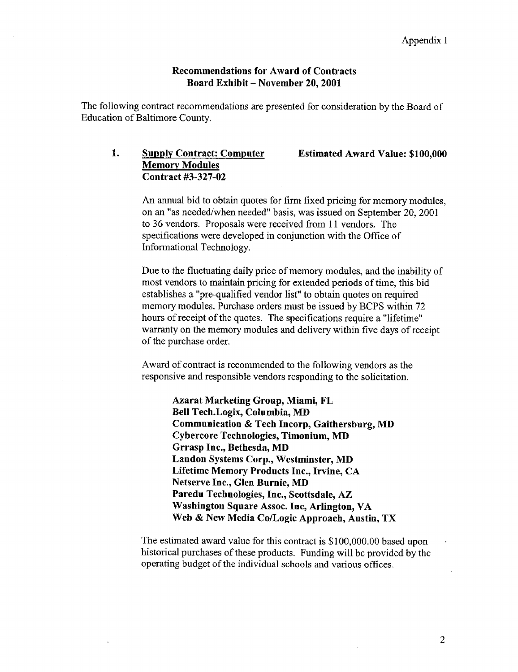## Recommendations for Award of Contracts Board Exhibit - November 20, 2001

The following contract recommendations are presented for consideration by the Board of Education of Baltimore County.

## 1. Supply Contract: Computer Estimated Award Value: \$100,000 Memory Modules Contract #3-327-02

An annual bid to obtain quotes for firm fixed pricing for memory modules, on an "as needed/when needed" basis, was issued on September 20, 2001 to 36 vendors. Proposals were received from 11 vendors. The specifications were developed in conjunction with the Office of Informational Technology.

Due to the fluctuating daily price of memory modules, and the inability of most vendors to maintain pricing for extended periods of time, this bid establishes a "pre-qualified vendor list" to obtain quotes on required memory modules. Purchase orders must be issued by BCPS within 72 hours of receipt of the quotes. The specifications require a "lifetime" warranty on the memory modules and delivery within five days of receipt of the purchase order.

Award of contract is recommended to the following vendors as the responsive and responsible vendors responding to the solicitation .

> Azarat Marketing Group, Miami, FL Bell Tech.Logix, Columbia, MD Communication & Tech Incorp, Gaithersburg, MD Cybercore Technologies, Timonium, MD Grrasp Inc., Bethesda, MD Landon Systems Corp., Westminster, MD Lifetime Memory Products Inc., Irvine, CA Netserve Inc., Glen Burnie, MD Paredu Technologies, Inc., Scottsdale, AZ Washington Square Assoc. Inc, Arlington, VA Web & New Media Co/Logic Approach, Austin, TX

The estimated award value for this contract is \$100,000.00 based upon historical purchases of these products. Funding will be provided by the operating budget of the individual schools and various offices.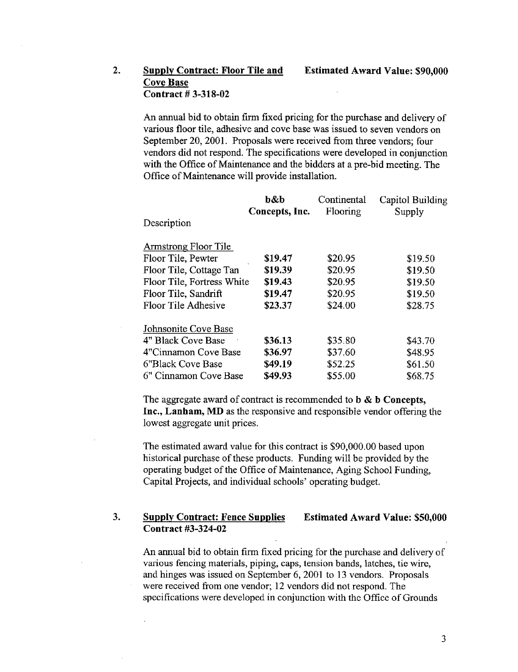## 2. Supply Contract: Floor Tile and Estimated Award Value: \$90,000 Cove Base Contract # 3-318-02

An annual bid to obtain firm fixed pricing for the purchase and delivery of various floor tile, adhesive and cove base was issued to seven vendors on September 20, 2001. Proposals were received from three vendors; four vendors did not respond. The specifications were developed in conjunction with the Office of Maintenance and the bidders at a pre-bid meeting. The Office of Maintenance will provide installation.

| b&b     | Continental                                  | Capitol Building |
|---------|----------------------------------------------|------------------|
|         |                                              | Supply           |
|         |                                              |                  |
|         |                                              |                  |
| \$19.47 | \$20.95                                      | \$19.50          |
| \$19.39 | \$20.95                                      | \$19.50          |
| \$19.43 | \$20.95                                      | \$19.50          |
| \$19.47 | \$20.95                                      | \$19.50          |
| \$23.37 | \$24.00                                      | \$28.75          |
|         |                                              |                  |
| \$36.13 | \$35.80                                      | \$43.70          |
| \$36.97 | \$37.60                                      | \$48.95          |
| \$49.19 | \$52.25                                      | \$61.50          |
| \$49.93 | \$55.00                                      | \$68.75          |
|         | Concepts, Inc.<br>Floor Tile, Fortress White | Flooring         |

The aggregate award of contract is recommended to  $\mathbf b \& \mathbf b$  Concepts, Inc., Lanham, MD as the responsive and responsible vendor offering the lowest aggregate unit prices.

The estimated award value for this contract is \$90,000 .00 based upon historical purchase of these products. Funding will be provided by the operating budget of the Office of Maintenance, Aging School Funding, Capital Projects, and individual schools' operating budget.

#### 3. Supply Contract: Fence Supplies Contract #3-324-02 Estimated Award Value: \$50,000

An annual bid to obtain firm fixed pricing for the purchase and delivery of various fencing materials, piping, caps, tension bands, latches, tie wire, and hinges was issued on September 6, 2001 to 13 vendors. Proposals were received from one vendor; 12 vendors did not respond. The specifications were developed in conjunction with the Office of Grounds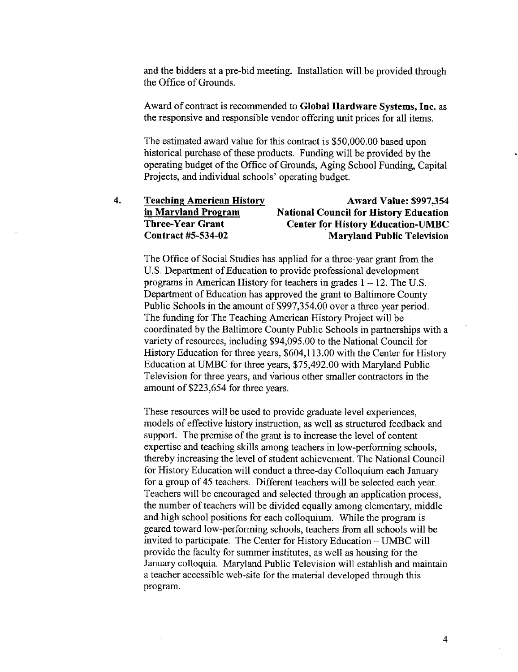and the bidders at a pre-bid meeting. Installation will be provided through the Office of Grounds.

Award of contract is recommended to Global Hardware Systems, Inc. as the responsive and responsible vendor offering unit prices for all items .

The estimated award value for this contract is \$50,000.00 based upon historical purchase of these products. Funding will be provided by the operating budget of the Office of Grounds, Aging School Funding, Capital Projects, and individual schools' operating budget.

| 4. | <b>Teaching American History</b> | <b>Award Value: \$997,354</b>                 |
|----|----------------------------------|-----------------------------------------------|
|    | in Maryland Program              | <b>National Council for History Education</b> |
|    | <b>Three-Year Grant</b>          | <b>Center for History Education-UMBC</b>      |
|    | Contract #5-534-02               | <b>Maryland Public Television</b>             |
|    |                                  |                                               |

The Office of Social Studies has applied for a three-year grant from the U.S . Department of Education to provide professional development programs in American History for teachers in grades  $1 - 12$ . The U.S. Department of Education has approved the grant to Baltimore County Public Schools in the amount of \$997,354.00 over a three-year period. The funding for The Teaching American History Project will be coordinated by the Baltimore County Public Schools in partnerships with a variety of resources, including \$94,095 .00 to the National Council for History Education for three years, \$604,113.00 with the Center for History Education at UMBC for three years, \$75,492.00 with Maryland Public Television for three years, and various other smaller contractors in the amount of \$223,654 for three years.

These resources will be used to provide graduate level experiences, models of effective history instruction, as well as structured feedback and support. The premise of the grant is to increase the level of content expertise and teaching skills among teachers in low-performing schools, thereby increasing the level of student achievement. The National Council for History Education will conduct a three-day Colloquium each January for a group of 45 teachers . Different teachers will be selected each year. Teachers will be encouraged and selected through an application process, the number of teachers will be divided equally among elementary, middle and high school positions for each colloquium. While the program is geared toward low-performing schools, teachers from all schools will be invited to participate. The Center for History Education  $-$  UMBC will provide the faculty for summer institutes, as well as housing for the January colloquia. Maryland Public Television will establish and maintain a teacher accessible web-site for the material developed through this program.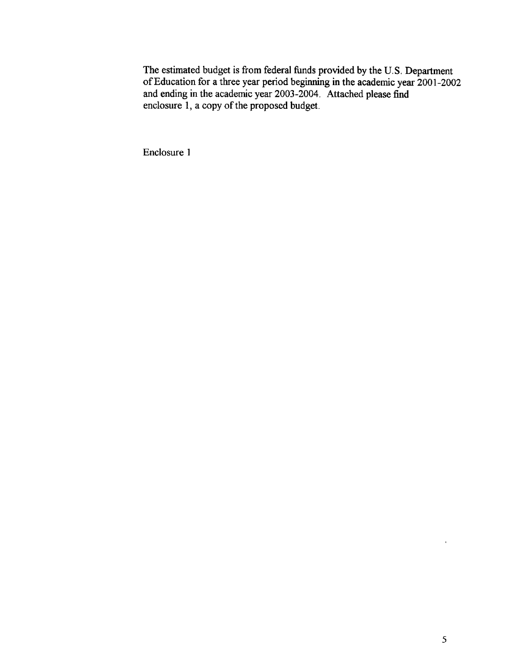The estimated budget is from federal funds provided by the U.S . Department of Education for a three year period beginning in the academic year 2001-2002 and ending in the academic year 2003-2004. Attached please find enclosure 1, a copy of the proposed budget.

Enclosure <sup>1</sup>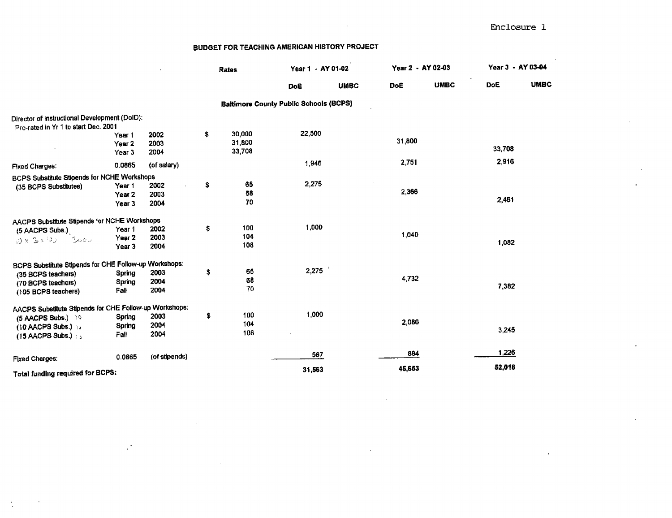|                                                        |                   |               |    | <b>Rates</b> | Year 1 - AY 01-02                             |             | Year 2 - AY 02-03 |             |            | Year 3 - AY 03-04 |  |
|--------------------------------------------------------|-------------------|---------------|----|--------------|-----------------------------------------------|-------------|-------------------|-------------|------------|-------------------|--|
|                                                        |                   |               |    |              | DoE                                           | <b>UMBC</b> | DoË               | <b>UMBC</b> | <b>DoE</b> | <b>UMBC</b>       |  |
|                                                        |                   |               |    |              | <b>Baltimore County Public Schools (BCPS)</b> |             |                   |             |            |                   |  |
| Director of Instructional Development (DoID):          |                   |               |    |              |                                               |             |                   |             |            |                   |  |
| Pro-rated in Yr 1 to start Dec. 2001                   |                   |               |    |              |                                               |             |                   |             |            |                   |  |
|                                                        | Year 1            | 2002          | \$ | 30,000       | 22,500                                        |             | 31,800            |             |            |                   |  |
|                                                        | Year <sub>2</sub> | 2003          |    | 31,800       |                                               |             |                   |             | 33,708     |                   |  |
|                                                        | Year <sub>3</sub> | 2004          |    | 33,708       |                                               |             |                   |             |            |                   |  |
| <b>Fixed Charges:</b>                                  | 0.0865            | (of salary)   |    |              | 1,946                                         |             | 2.751             |             | 2916       |                   |  |
| BCPS Substitute Stipends for NCHE Workshops            |                   |               |    |              |                                               |             |                   |             |            |                   |  |
| (35 BCPS Substitutes)                                  | Year 1            | 2002          | s  | 65           | 2,275                                         |             |                   |             |            |                   |  |
|                                                        | Year <sub>2</sub> | 2003          |    | 68           |                                               |             | 2,366             |             |            |                   |  |
|                                                        | Year 3            | 2004          |    | 70           |                                               |             |                   |             | 2,461      |                   |  |
| AACPS Substitute Stipends for NCHE Workshops           |                   |               |    |              |                                               |             |                   |             |            |                   |  |
| (5 AACPS Subs.)                                        | Year 1            | 2002          | \$ | 100          | 1,000                                         |             |                   |             |            |                   |  |
| 3000<br>$10 \times 3 \times 100$                       | Year <sub>2</sub> | 2003          |    | 104          |                                               |             | 1,040             |             |            |                   |  |
|                                                        | Year <sub>3</sub> | 2004          |    | 108          |                                               |             |                   |             | 1,082      |                   |  |
| BCPS Substitute Stipends for CHE Follow-up Workshops:  |                   |               |    |              |                                               |             |                   |             |            |                   |  |
| (35 BCPS teachers)                                     | Spring            | 2003          | \$ | 65           | 2,275                                         |             |                   |             |            |                   |  |
| (70 BCPS teachers)                                     | Spring            | 2004          |    | 68           |                                               |             | 4,732             |             |            |                   |  |
| (105 BCPS teachers)                                    | Fall              | 2004          |    | 70           |                                               |             |                   |             | 7,382      |                   |  |
| AACPS Substitute Stipends for CHE Follow-up Workshops: |                   |               |    |              |                                               |             |                   |             |            |                   |  |
| (5 AACPS Subs.) 10                                     | Spring            | 2003          | \$ | 100          | 1,000                                         |             |                   |             |            |                   |  |
| (10 AACPS Subs.) to                                    | Spring            | 2004          |    | 104          |                                               |             | 2,080             |             |            |                   |  |
| (15 AACPS Subs.)                                       | Fall              | 2004          |    | 108          |                                               |             |                   |             | 3,245      |                   |  |
|                                                        | 0.0865            | (of stipends) |    |              | 567                                           |             | 884               |             | 1,226      |                   |  |
| <b>Fixed Charges:</b>                                  |                   |               |    |              | 31,563                                        |             | 45,653            |             | 52,018     |                   |  |
| Total funding required for BCPS:                       |                   |               |    |              |                                               |             |                   |             |            |                   |  |

 $\overline{a}$ 

 $\mathbb{R}^{\mathbb{Z}}$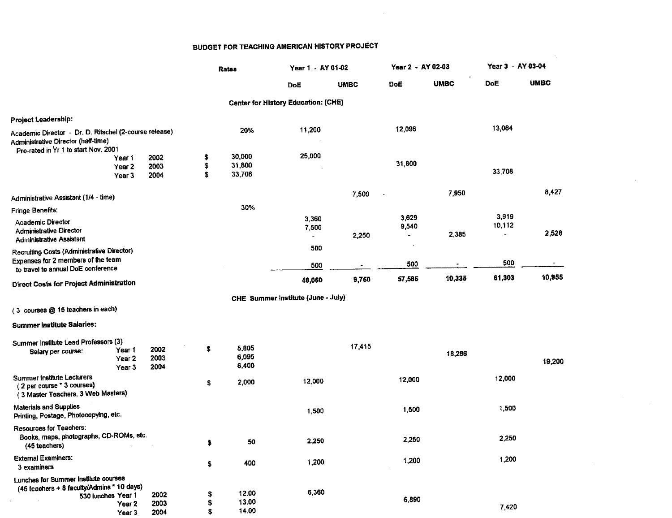$\mathcal{L}_{\mathcal{A}}$ 

 $\sim 10^{-1}$ 

 $\mathcal{L}_{\mathbf{r}}$ 

|                                                                                                                                                 |                      |                | Rates                   | Year 1 - AY 01-02                          |             | Year 2 - AY 02-03                          |             | Year 3 - AY 03-04 |             |
|-------------------------------------------------------------------------------------------------------------------------------------------------|----------------------|----------------|-------------------------|--------------------------------------------|-------------|--------------------------------------------|-------------|-------------------|-------------|
|                                                                                                                                                 |                      |                |                         | DoE                                        | <b>UMBC</b> | DoË                                        | <b>UMBC</b> | <b>DoE</b>        | <b>UMBC</b> |
|                                                                                                                                                 |                      |                |                         | <b>Center for History Education: (CHE)</b> |             |                                            |             |                   |             |
| Project Leadership:                                                                                                                             |                      |                |                         |                                            |             |                                            |             |                   |             |
| Academic Director - Dr. D. Ritschel (2-course release)<br>Administrative Director (half-time)<br>Pro-rated in Yr 1 to start Nov. 2001<br>Year 1 | 2002                 | \$             | 20%<br>30,000           | 11,200<br>25,000                           |             | 12,096                                     |             | 13,064            |             |
| Year <sub>2</sub><br>Year <sub>3</sub>                                                                                                          | 2003<br>2004         | \$<br>\$       | 31,800<br>33,708        |                                            |             | 31,800                                     |             | 33,708            |             |
| Administrative Assistant (1/4 - time)                                                                                                           |                      |                |                         |                                            | 7,500       | $\ddot{\phantom{a}}$                       | 7,950       |                   | 8,427       |
| <b>Fringe Benefits:</b>                                                                                                                         |                      |                | 30%                     |                                            |             |                                            |             |                   |             |
| Academic Director<br>Administrative Director<br><b>Administrative Assistant</b>                                                                 |                      |                |                         | 3,360<br>7,500<br>$\tilde{\phantom{a}}$    | 2,250       | 3,629<br>9,540<br>$\overline{\phantom{a}}$ | 2,385       | 3,919<br>10,112   | 2,528       |
| Recruiting Costs (Administrative Director)<br>Expenses for 2 members of the team<br>to travel to annual DoE conference                          |                      |                |                         | 500<br>500                                 |             | 500                                        |             | 500               | $\sim$      |
| <b>Direct Costs for Project Administration</b>                                                                                                  |                      |                |                         | 48,060                                     | 9,750       | 57,565                                     | 10,335      | 61,303            | 10,955      |
|                                                                                                                                                 |                      |                |                         | CHE Summer Institute (June - July)         |             |                                            |             |                   |             |
| (3 courses @ 15 teachers in each)                                                                                                               |                      |                |                         |                                            |             |                                            |             |                   |             |
| <b>Summer Institute Salaries:</b>                                                                                                               |                      |                |                         |                                            |             |                                            |             |                   |             |
| Summer Institute Lead Professors (3)<br>Year 1<br>Salary per course:<br>Year <sub>2</sub><br>Year 3                                             | 2002<br>2003<br>2004 | \$             | 5,805<br>6,095<br>6,400 |                                            | 17,415      |                                            | 18,286      |                   | 19,200      |
| <b>Summer Institute Lecturers</b><br>(2 per course * 3 courses)<br>(3 Master Teachers, 3 Web Masters)                                           |                      | \$             | 2,000                   | 12,000                                     |             | 12,000                                     |             | 12,000            |             |
| Materials and Supplies<br>Printing, Postage, Photocopying, etc.                                                                                 |                      |                |                         | 1,500                                      |             | 1,500                                      |             | 1,500             |             |
| Resources for Teachers:<br>Books, maps, photographs, CD-ROMs, etc.<br>(45 teachers)                                                             |                      |                | 50                      | 2,250                                      |             | 2,250                                      |             | 2,250             |             |
| <b>External Examiners:</b><br>3 examiners                                                                                                       |                      | \$             | 400                     | 1,200                                      |             | 1,200                                      |             | 1,200             |             |
| Lunches for Summer Institute courses                                                                                                            |                      |                |                         |                                            |             |                                            |             |                   |             |
| (45 teachers + 8 faculty/Admins * 10 days)<br>530 lunches Year 1<br>Year <sub>2</sub><br>Year 3                                                 | 2002<br>2003<br>2004 | \$<br>\$<br>\$ | 12.00<br>13.00<br>14.00 | 6,360                                      |             | 6,890                                      |             | 7,420             |             |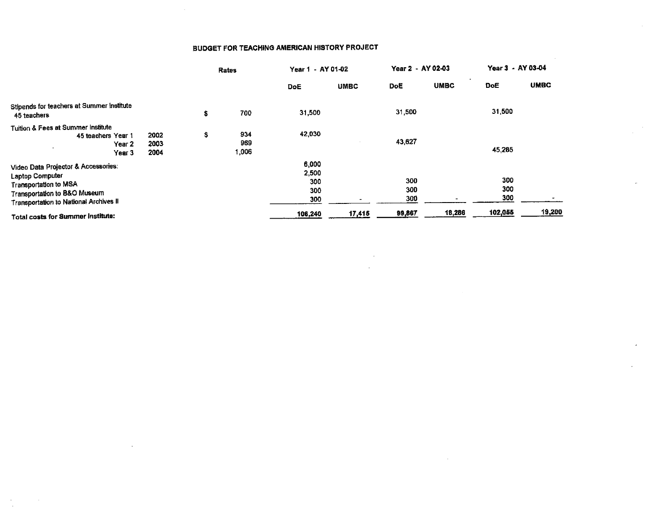|                                                                                                                                                           |                      | Rates                     | Year 1 - AY 01-02                   |             | Year 2 - AY 02-03 |             | Year 3 - AY 03-04 |             |
|-----------------------------------------------------------------------------------------------------------------------------------------------------------|----------------------|---------------------------|-------------------------------------|-------------|-------------------|-------------|-------------------|-------------|
|                                                                                                                                                           |                      |                           | <b>DoE</b>                          | <b>UMBC</b> | DoE.              | <b>UMBC</b> | <b>DoE</b>        | <b>UMBC</b> |
| Stipends for teachers at Summer Institute<br>45 teachers                                                                                                  |                      | \$<br>700                 | 31,500                              |             | 31,500            |             | 31,500            |             |
| Tuition & Fees at Summer Institute<br>45 teachers Year 1<br>Year 2<br>Year 3                                                                              | 2002<br>2003<br>2004 | \$<br>934<br>969<br>1,006 | 42,030                              |             | 43,627            |             | 45,285            |             |
| Video Data Projector & Accessories:<br>Laptop Computer<br>Transportation to MSA<br>Transportation to B&O Museum<br>Transportation to National Archives II |                      |                           | 6,000<br>2,500<br>300<br>300<br>300 |             | 300<br>300<br>300 |             | 300<br>300<br>300 |             |
| Total costs for Summer Institute:                                                                                                                         |                      |                           | 106,240                             | 17,415      | 99,867            | 18,286      | 102,055           | 19,200      |

 $\bar{z}$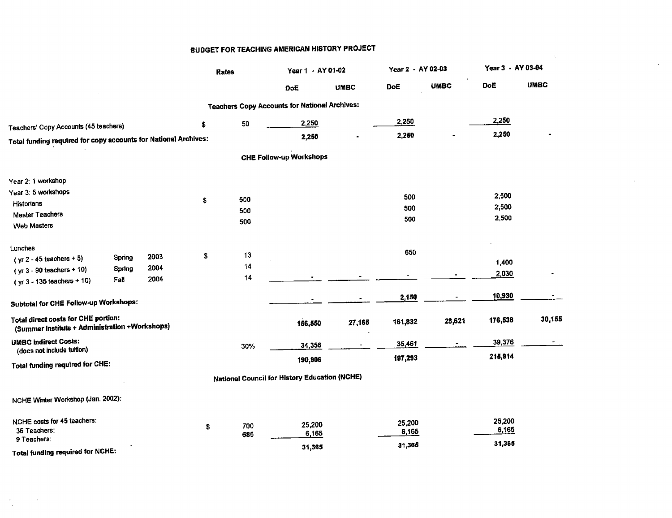|                                                                                       |        |      | <b>Rates</b>     | Year 1 - AY 01-02                                    |             | Year 2 - AY 02-03 |                          | Year 3 - AY 03-04 |             |
|---------------------------------------------------------------------------------------|--------|------|------------------|------------------------------------------------------|-------------|-------------------|--------------------------|-------------------|-------------|
|                                                                                       |        |      |                  | DoE                                                  | <b>UMBC</b> | DoE               | <b>UMBC</b>              | DoË               | <b>UMBC</b> |
|                                                                                       |        |      |                  | <b>Teachers Copy Accounts for National Archives:</b> |             |                   |                          |                   |             |
| Teachers' Copy Accounts (45 teachers)                                                 |        |      | \$<br>50         | 2,250                                                |             | 2,250             |                          | 2,250             |             |
| Total funding required for copy accounts for National Archives:                       |        |      |                  | 2,250                                                |             | 2,250             |                          | 2,250             |             |
|                                                                                       |        |      |                  | <b>CHE Follow-up Workshops</b>                       |             |                   |                          |                   |             |
| Year 2: 1 workshop                                                                    |        |      |                  |                                                      |             |                   |                          |                   |             |
| Year 3: 5 workshops                                                                   |        |      |                  |                                                      |             | 500               |                          | 2,500             |             |
| Historians                                                                            |        |      | \$<br>500<br>500 |                                                      |             | 500               |                          | 2,500             |             |
| <b>Master Teachers</b><br>Web Masters                                                 |        |      | 500              |                                                      |             | 500               |                          | 2,500             |             |
| Lunches                                                                               |        |      |                  |                                                      |             |                   |                          |                   |             |
| $(yr 2 - 45$ teachers + 5)                                                            | Spring | 2003 | \$<br>13         |                                                      |             | 650               |                          | 1,400             |             |
| (yr 3 - 90 teachers + 10)                                                             | Spring | 2004 | 14               |                                                      |             |                   |                          | 2,030             |             |
| (yr 3 - 135 teachers + 10)                                                            | Fall   | 2004 | 14               |                                                      |             |                   |                          |                   |             |
| Subtotal for CHE Follow-up Workshops:                                                 |        |      |                  |                                                      |             | 2,150             | $\overline{\phantom{0}}$ | 10,930            |             |
| Total direct costs for CHE portion:<br>(Summer Institute + Administration +Workshops) |        |      |                  | 156,550                                              | 27,165      | 161,832           | 28,621                   | 176,538           | 30,155      |
| <b>UMBC Indirect Costs:</b>                                                           |        |      | 30%              | 34,356                                               |             | 35,461            | $\overline{a}$           | 39,376            |             |
| (does not include tuition)                                                            |        |      |                  | 190,906                                              |             | 197,293           |                          | 215,914           |             |
| Total funding required for CHE:                                                       |        |      |                  | National Council for History Education (NCHE)        |             |                   |                          |                   |             |
| NCHE Winter Workshop (Jan. 2002):                                                     |        |      |                  |                                                      |             |                   |                          |                   |             |
| NCHE costs for 45 teachers:                                                           |        |      |                  |                                                      |             | 25,200            |                          | 25,200            |             |
| 36 Teachers:                                                                          |        |      | \$<br>700<br>685 | 25,200<br>6,165                                      |             | 6,165             |                          | 6,165             |             |
| 9 Teachers:                                                                           |        |      |                  | 31,365                                               |             | 31,365            |                          | 31,365            |             |
| Total funding required for NCHE:                                                      |        |      |                  |                                                      |             |                   |                          |                   |             |

 $\sim$   $\sigma$  .

 $\sim$ 

**Contractor** 

## **BUDGET FOR TEACHING AMERICAN HISTORY PROJECT**

 $\sim 100$ 

 $\sim$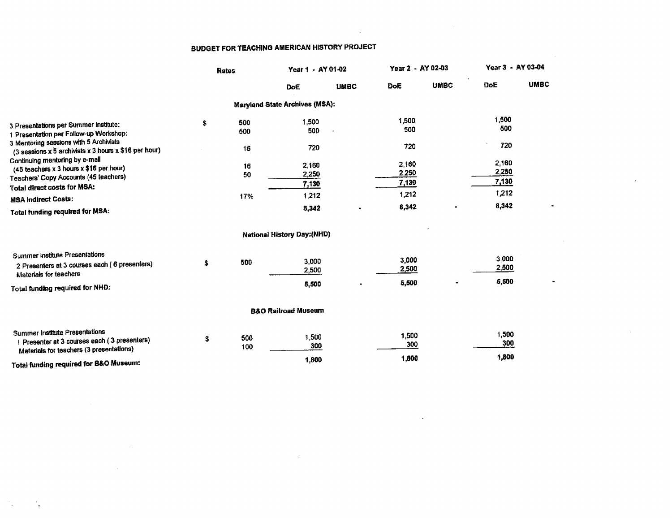$\overline{a}$ 

|                                                                                                 | <b>Rates</b> |            | Year 1 - AY 01-02                     |             | Year 2 - AY 02-03 |             | Year 3 - AY 03-04 |             |
|-------------------------------------------------------------------------------------------------|--------------|------------|---------------------------------------|-------------|-------------------|-------------|-------------------|-------------|
|                                                                                                 |              |            | DoE                                   | <b>UMBC</b> | DoE               | <b>UMBC</b> | DoE               | <b>UMBC</b> |
|                                                                                                 |              |            | <b>Maryland State Archives (MSA):</b> |             |                   |             |                   |             |
| 3 Presentations per Summer institute:                                                           | \$           | 500        | 1,500                                 |             | 1,500<br>500      |             | 1,500<br>500      |             |
| 1 Presentation per Follow-up Workshop:                                                          |              | 500        | 500                                   |             |                   |             |                   |             |
| 3 Mentoring sessions with 5 Archivists<br>(3 sessions x 5 archivists x 3 hours x \$16 per hour) |              | 16         | 720                                   |             | 720               |             | 720               |             |
| Continuing mentoring by e-mail                                                                  |              | 16         | 2,160                                 |             | 2,160             |             | 2,160             |             |
| (45 teachers x 3 hours x \$16 per hour)<br>Teachers' Copy Accounts (45 teachers)                |              | 50         | 2,250                                 |             | 2,250             |             | 2,250             |             |
| <b>Total direct costs for MSA:</b>                                                              |              |            | 7.130                                 |             | 7,130             |             | 7,130             |             |
| <b>MSA Indirect Costs:</b>                                                                      |              | 17%        | 1,212                                 |             | 1,212             |             | 1,212             |             |
| <b>Total funding required for MSA:</b>                                                          |              |            | 8,342                                 |             | 8,342             |             | 8,342             |             |
|                                                                                                 |              |            | <b>National History Day: (NHD)</b>    |             |                   |             |                   |             |
| Summer Institute Presentations                                                                  |              |            |                                       |             |                   |             |                   |             |
| 2 Presenters at 3 courses each (6 presenters)                                                   | s            | 500        | 3,000<br>2,500                        |             | 3,000<br>2,500    |             | 3,000<br>2,500    |             |
| Materials for teachers                                                                          |              |            |                                       |             |                   |             | 5,500             |             |
| Total funding required for NHD:                                                                 |              |            | 5,500                                 |             | 5,500             |             |                   |             |
|                                                                                                 |              |            | <b>B&amp;O Railroad Museum</b>        |             |                   |             |                   |             |
| <b>Summer Institute Presentations</b>                                                           |              |            |                                       |             | 1,500             |             | 1,500             |             |
| 1 Presenter at 3 courses each (3 presenters)<br>Materials for teachers (3 presentations)        | \$           | 500<br>100 | 1,500<br>300                          |             | 300               |             | 300               |             |
| Total funding required for B&O Museum:                                                          |              |            | 1,800                                 |             | 1,800             |             | 1,800             |             |